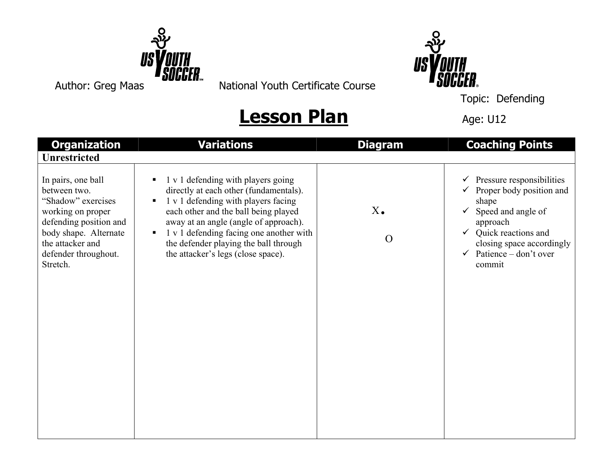

Author: Greg Maas **Bobbell** National Youth Certificate Course



Topic: Defending

## **Lesson Plan** Age: U12

| <b>Organization</b>                                                                                                                                                                      | <b>Variations</b>                                                                                                                                                                                                                                                                                                                                | <b>Diagram</b>            | <b>Coaching Points</b>                                                                                                                                                                                         |
|------------------------------------------------------------------------------------------------------------------------------------------------------------------------------------------|--------------------------------------------------------------------------------------------------------------------------------------------------------------------------------------------------------------------------------------------------------------------------------------------------------------------------------------------------|---------------------------|----------------------------------------------------------------------------------------------------------------------------------------------------------------------------------------------------------------|
| <b>Unrestricted</b>                                                                                                                                                                      |                                                                                                                                                                                                                                                                                                                                                  |                           |                                                                                                                                                                                                                |
| In pairs, one ball<br>between two.<br>"Shadow" exercises<br>working on proper<br>defending position and<br>body shape. Alternate<br>the attacker and<br>defender throughout.<br>Stretch. | 1 v 1 defending with players going<br>directly at each other (fundamentals).<br>1 v 1 defending with players facing<br>$\blacksquare$<br>each other and the ball being played<br>away at an angle (angle of approach).<br>1 v 1 defending facing one another with<br>the defender playing the ball through<br>the attacker's legs (close space). | $X_{\bullet}$<br>$\Omega$ | Pressure responsibilities<br>✔<br>Proper body position and<br>shape<br>Speed and angle of<br>approach<br>$\checkmark$ Quick reactions and<br>closing space accordingly<br>Patience – don't over<br>✓<br>commit |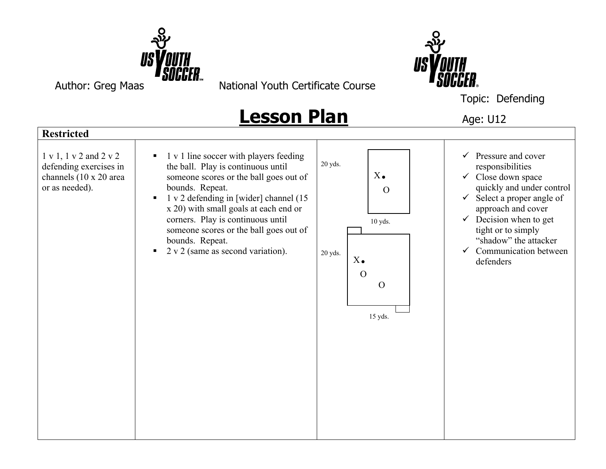

Author: Greg Maas National Youth Certificate Course



Topic: Defending

## **Lesson Plan** Age: U12

**Restricted**  1 v 1, 1 v 2 and 2 v 2 defending exercises in channels (10 x 20 area or as needed).  $\blacksquare$  1 v 1 line soccer with players feeding the ball. Play is continuous until someone scores or the ball goes out of bounds. Repeat.  $\blacksquare$  1 v 2 defending in [wider] channel (15 x 20) with small goals at each end or corners. Play is continuous until someone scores or the ball goes out of bounds. Repeat.  $\sim$  2 v 2 (same as second variation). 20 yds. 10 yds. 20 yds. 15 yds.  $\checkmark$  Pressure and cover responsibilities  $\checkmark$  Close down space quickly and under control  $\checkmark$  Select a proper angle of approach and cover  $\checkmark$  Decision when to get tight or to simply "shadow" the attacker  $\checkmark$  Communication between defenders  $X_{\bullet}$  $\Omega$ X.  $\Omega$ O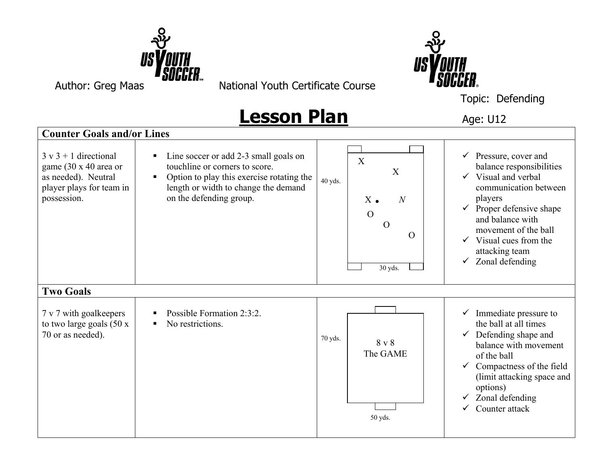

Author: Greg Maas National Youth Certificate Course



Topic: Defending

## **Lesson Plan** Age: U12

**Counter Goals and/or Lines**  $3 \text{ v } 3 + 1$  directional game (30 x 40 area or as needed). Neutral player plays for team in possession. ■ Line soccer or add 2-3 small goals on touchline or corners to score. • Option to play this exercise rotating the length or width to change the demand on the defending group. 40 yds. 30 yds.  $\checkmark$  Pressure, cover and balance responsibilities  $\checkmark$  Visual and verbal communication between players  $\checkmark$  Proper defensive shape and balance with movement of the ball  $\checkmark$  Visual cues from the attacking team  $\checkmark$  Zonal defending **Two Goals** 7 v 7 with goalkeepers to two large goals (50 x 70 or as needed). Possible Formation  $2 \cdot 3 \cdot 2$ . No restrictions. 70 yds. 50 yds.  $\checkmark$  Immediate pressure to the ball at all times  $\checkmark$  Defending shape and balance with movement of the ball  $\checkmark$  Compactness of the field (limit attacking space and options)  $\checkmark$  Zonal defending  $\checkmark$  Counter attack X X  $X \bullet N$ O  $\Omega$  $\Omega$ 8 v 8 The GAME